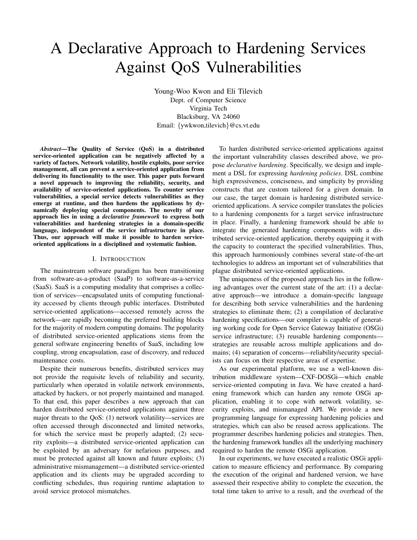# A Declarative Approach to Hardening Services Against QoS Vulnerabilities

Young-Woo Kwon and Eli Tilevich Dept. of Computer Science Virginia Tech Blacksburg, VA 24060 Email: {ywkwon,tilevich}@cs.vt.edu

*Abstract*—The Quality of Service (QoS) in a distributed service-oriented application can be negatively affected by a variety of factors. Network volatility, hostile exploits, poor service management, all can prevent a service-oriented application from delivering its functionality to the user. This paper puts forward a novel approach to improving the reliability, security, and availability of service-oriented applications. To counter service vulnerabilities, a special service detects vulnerabilities as they emerge at runtime, and then hardens the applications by dynamically deploying special components. The novelty of our approach lies in using a *declarative framework* to express both vulnerabilities and hardening strategies in a domain-specific language, independent of the service infrastructure in place. Thus, our approach will make it possible to harden serviceoriented applications in a disciplined and systematic fashion.

#### I. INTRODUCTION

The mainstream software paradigm has been transitioning from software-as-a-product (SaaP) to software-as-a-service (SaaS). SaaS is a computing modality that comprises a collection of services—encapsulated units of computing functionality accessed by clients through public interfaces. Distributed service-oriented applications—accessed remotely across the network—are rapidly becoming the preferred building blocks for the majority of modern computing domains. The popularity of distributed service-oriented applications stems from the general software engineering benefits of SaaS, including low coupling, strong encapsulation, ease of discovery, and reduced maintenance costs.

Despite their numerous benefits, distributed services may not provide the requisite levels of reliability and security, particularly when operated in volatile network environments, attacked by hackers, or not properly maintained and managed. To that end, this paper describes a new approach that can harden distributed service-oriented applications against three major threats to the QoS: (1) network volatility—services are often accessed through disconnected and limited networks, for which the service must be properly adapted; (2) security exploits—a distributed service-oriented application can be exploited by an adversary for nefarious purposes, and must be protected against all known and future exploits; (3) administrative mismanagement—a distributed service-oriented application and its clients may be upgraded according to conflicting schedules, thus requiring runtime adaptation to avoid service protocol mismatches.

To harden distributed service-oriented applications against the important vulnerability classes described above, we propose *declarative hardening*. Specifically, we design and implement a DSL for expressing *hardening policies*. DSL combine high expressiveness, conciseness, and simplicity by providing constructs that are custom tailored for a given domain. In our case, the target domain is hardening distributed serviceoriented applications. A service compiler translates the policies to a hardening components for a target service infrastructure in place. Finally, a hardening framework should be able to integrate the generated hardening components with a distributed service-oriented application, thereby equipping it with the capacity to counteract the specified vulnerabilities. Thus, this approach harmoniously combines several state-of-the-art technologies to address an important set of vulnerabilities that plague distributed service-oriented applications.

The uniqueness of the proposed approach lies in the following advantages over the current state of the art: (1) a declarative approach—we introduce a domain-specific language for describing both service vulnerabilities and the hardening strategies to eliminate them; (2) a compilation of declarative hardening specifications—our compiler is capable of generating working code for Open Service Gateway Initiative (OSGi) service infrastructure; (3) reusable hardening components strategies are reusable across multiple applications and domains; (4) separation of concerns—reliability/security specialists can focus on their respective areas of expertise.

As our experimental platform, we use a well-known distribution middleware system—CXF-DOSGi—which enable service-oriented computing in Java. We have created a hardening framework which can harden any remote OSGi application, enabling it to cope with network volatility, security exploits, and mismanaged API. We provide a new programming language for expressing hardening policies and strategies, which can also be reused across applications. The programmer describes hardening policies and strategies. Then, the hardening framework handles all the underlying machinery required to harden the remote OSGi application.

In our experiments, we have executed a realistic OSGi application to measure efficiency and performance. By comparing the execution of the original and hardened version, we have assessed their respective ability to complete the execution, the total time taken to arrive to a result, and the overhead of the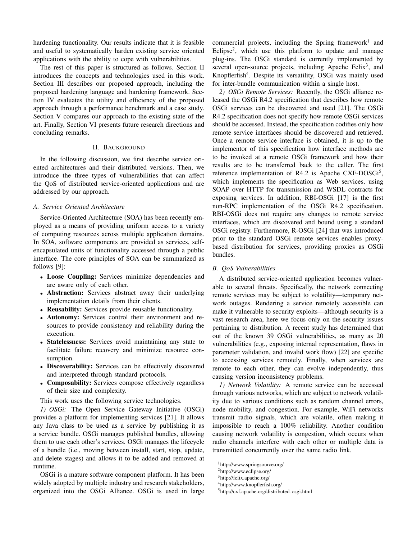hardening functionality. Our results indicate that it is feasible and useful to systematically harden existing service oriented applications with the ability to cope with vulnerabilities.

The rest of this paper is structured as follows. Section II introduces the concepts and technologies used in this work. Section III describes our proposed approach, including the proposed hardening language and hardening framework. Section IV evaluates the utility and efficiency of the proposed approach through a performance benchmark and a case study. Section V compares our approach to the existing state of the art. Finally, Section VI presents future research directions and concluding remarks.

# II. BACKGROUND

In the following discussion, we first describe service oriented architectures and their distributed versions. Then, we introduce the three types of vulnerabilities that can affect the QoS of distributed service-oriented applications and are addressed by our approach.

#### *A. Service Oriented Architecture*

Service-Oriented Architecture (SOA) has been recently employed as a means of providing uniform access to a variety of computing resources across multiple application domains. In SOA, software components are provided as services, selfencapsulated units of functionality accessed through a public interface. The core principles of SOA can be summarized as follows [9]:

- Loose Coupling: Services minimize dependencies and are aware only of each other.
- Abstraction: Services abstract away their underlying implementation details from their clients.
- **Reusability:** Services provide reusable functionality.
- Autonomy: Services control their environment and resources to provide consistency and reliability during the execution.
- Statelessness: Services avoid maintaining any state to facilitate failure recovery and minimize resource consumption.
- Discoverability: Services can be effectively discovered and interpreted through standard protocols.
- Composability: Services compose effectively regardless of their size and complexity.

This work uses the following service technologies.

*1) OSGi:* The Open Service Gateway Initiative (OSGi) provides a platform for implementing services [21]. It allows any Java class to be used as a service by publishing it as a service bundle. OSGi manages published bundles, allowing them to use each other's services. OSGi manages the lifecycle of a bundle (i.e., moving between install, start, stop, update, and delete stages) and allows it to be added and removed at runtime.

OSGi is a mature software component platform. It has been widely adopted by multiple industry and research stakeholders, organized into the OSGi Alliance. OSGi is used in large

commercial projects, including the Spring framework<sup>1</sup> and Eclipse<sup>2</sup>, which use this platform to update and manage plug-ins. The OSGi standard is currently implemented by several open-source projects, including Apache Felix<sup>3</sup>, and Knopflerfish<sup>4</sup>. Despite its versatility, OSGi was mainly used for inter-bundle communication within a single host.

*2) OSGi Remote Services:* Recently, the OSGi alliance released the OSGi R4.2 specification that describes how remote OSGi services can be discovered and used [21]. The OSGi R4.2 specification does not specify how remote OSGi services should be accessed. Instead, the specification codifies only how remote service interfaces should be discovered and retrieved. Once a remote service interface is obtained, it is up to the implementor of this specification how interface methods are to be invoked at a remote OSGi framework and how their results are to be transferred back to the caller. The first reference implementation of R4.2 is Apache CXF-DOSGi<sup>5</sup>, which implements the specification as Web services, using SOAP over HTTP for transmission and WSDL contracts for exposing services. In addition, RBI-OSGi [17] is the first non-RPC implementation of the OSGi R4.2 specification. RBI-OSGi does not require any changes to remote service interfaces, which are discovered and bound using a standard OSGi registry. Furthermore, R-OSGi [24] that was introduced prior to the standard OSGi remote services enables proxybased distribution for services, providing proxies as OSGi bundles.

## *B. QoS Vulnerabilities*

A distributed service-oriented application becomes vulnerable to several threats. Specifically, the network connecting remote services may be subject to volatility—temporary network outages. Rendering a service remotely accessible can make it vulnerable to security exploits—although security is a vast research area, here we focus only on the security issues pertaining to distribution. A recent study has determined that out of the known 39 OSGi vulnerabilities, as many as 20 vulnerabilities (e.g., exposing internal representation, flaws in parameter validation, and invalid work flow) [22] are specific to accessing services remotely. Finally, when services are remote to each other, they can evolve independently, thus causing version inconsistency problems.

*1) Network Volatility:* A remote service can be accessed through various networks, which are subject to network volatility due to various conditions such as random channel errors, node mobility, and congestion. For example, WiFi networks transmit radio signals, which are volatile, often making it impossible to reach a 100% reliability. Another condition causing network volatility is congestion, which occurs when radio channels interfere with each other or multiple data is transmitted concurrently over the same radio link.

<sup>1</sup>http://www.springsource.org/

<sup>2</sup>http://www.eclipse.org/

<sup>3</sup>http://felix.apache.org/

<sup>4</sup>http://www.knopflerfish.org/

<sup>5</sup>http://cxf.apache.org/distributed-osgi.html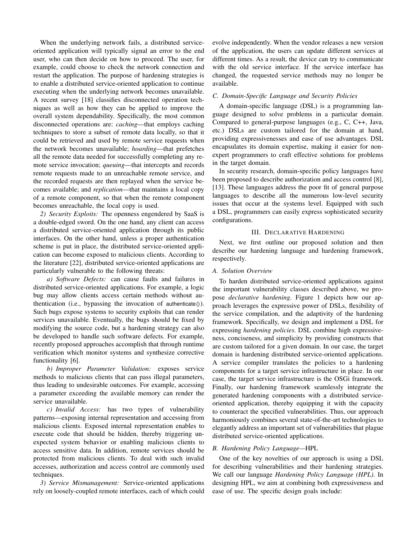When the underlying network fails, a distributed serviceoriented application will typically signal an error to the end user, who can then decide on how to proceed. The user, for example, could choose to check the network connection and restart the application. The purpose of hardening strategies is to enable a distributed service-oriented application to continue executing when the underlying network becomes unavailable. A recent survey [18] classifies disconnected operation techniques as well as how they can be applied to improve the overall system dependability. Specifically, the most common disconnected operations are: *caching*—that employs caching techniques to store a subset of remote data locally, so that it could be retrieved and used by remote service requests when the network becomes unavailable; *hoarding*—that prefetches all the remote data needed for successfully completing any remote service invocation; *queuing*—that intercepts and records remote requests made to an unreachable remote service, and the recorded requests are then replayed when the service becomes available; and *replication*—that maintains a local copy of a remote component, so that when the remote component becomes unreachable, the local copy is used.

*2) Security Exploits:* The openness engendered by SaaS is a double-edged sword. On the one hand, any client can access a distributed service-oriented application through its public interfaces. On the other hand, unless a proper authentication scheme is put in place, the distributed service-oriented application can become exposed to malicious clients. According to the literature [22], distributed service-oriented applications are particularly vulnerable to the following threats:

*a) Software Defects:* can cause faults and failures in distributed service-oriented applications. For example, a logic bug may allow clients access certain methods without authentication (i.e., bypassing the invocation of authenticate ()). Such bugs expose systems to security exploits that can render services unavailable. Eventually, the bugs should be fixed by modifying the source code, but a hardening strategy can also be developed to handle such software defects. For example, recently proposed approaches accomplish that through runtime verification which monitor systems and synthesize corrective functionality [6].

*b) Improper Parameter Validation:* exposes service methods to malicious clients that can pass illegal parameters, thus leading to undesirable outcomes. For example, accessing a parameter exceeding the available memory can render the service unavailable.

*c) Invalid Access:* has two types of vulnerability patterns—exposing internal representation and accessing from malicious clients. Exposed internal representation enables to execute code that should be hidden, thereby triggering unexpected system behavior or enabling malicious clients to access sensitive data. In addition, remote services should be protected from malicious clients. To deal with such invalid accesses, authorization and access control are commonly used techniques.

*3) Service Mismanagement:* Service-oriented applications rely on loosely-coupled remote interfaces, each of which could evolve independently. When the vendor releases a new version of the application, the users can update different services at different times. As a result, the device can try to communicate with the old service interface. If the service interface has changed, the requested service methods may no longer be available.

# *C. Domain-Specific Language and Security Policies*

A domain-specific language (DSL) is a programming language designed to solve problems in a particular domain. Compared to general-purpose languages (e.g., C, C++, Java, etc.) DSLs are custom tailored for the domain at hand, providing expressivenesses and ease of use advantages. DSL encapsulates its domain expertise, making it easier for nonexpert programmers to craft effective solutions for problems in the target domain.

In security research, domain-specific policy languages have been proposed to describe authorization and access control [8], [13]. These languages address the poor fit of general purpose languages to describe all the numerous low-level security issues that occur at the systems level. Equipped with such a DSL, programmers can easily express sophisticated security configurations.

# III. DECLARATIVE HARDENING

Next, we first outline our proposed solution and then describe our hardening language and hardening framework, respectively.

# *A. Solution Overview*

To harden distributed service-oriented applications against the important vulnerability classes described above, we propose *declarative hardening*. Figure 1 depicts how our approach leverages the expressive power of DSLs, flexibility of the service compilation, and the adaptivity of the hardening framework. Specifically, we design and implement a DSL for expressing *hardening policies*. DSL combine high expressiveness, conciseness, and simplicity by providing constructs that are custom tailored for a given domain. In our case, the target domain is hardening distributed service-oriented applications. A service compiler translates the policies to a hardening components for a target service infrastructure in place. In our case, the target service infrastructure is the OSGi framework. Finally, our hardening framework seamlessly integrate the generated hardening components with a distributed serviceoriented application, thereby equipping it with the capacity to counteract the specified vulnerabilities. Thus, our approach harmoniously combines several state-of-the-art technologies to elegantly address an important set of vulnerabilities that plague distributed service-oriented applications.

#### *B. Hardening Policy Language—*HPL

One of the key novelties of our approach is using a DSL for describing vulnerabilities and their hardening strategies. We call our language *Hardening Policy Language (HPL)*. In designing HPL, we aim at combining both expressiveness and ease of use. The specific design goals include: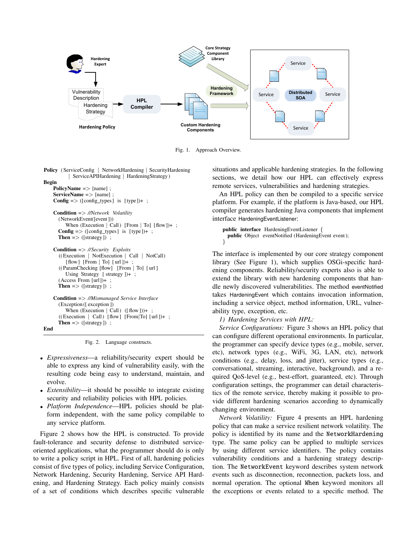

Fig. 1. Approach Overview.

Policy (ServiceConfig | NetworkHardening | SecurityHardening | ServiceAPIHardening | HardeningStrategy ) Begin

```
PolicyName => [name] ;
ServiceName => [name] ;
Config \equiv \equiv ([config_types] is [type])+;
```

```
Condition => //Network Volatility
  (NetworkEvent([event ]))
     When (Execution | Call) [From | To] [flow])+;
  Config =\frac{} ([config_types] is [type])+;
  Then \Rightarrow ([strategy]) ;
```

```
Condition => //Security Exploits
  ((Execution | NotExecution | Call | NotCall)
     [flow] [From | To] [url] + :
  (( ParamChecking [flow] [From | To] [ url ]
     Using Strategy [ strategy ])+ ;
  (Aceess From [url])+;
  Then \Rightarrow ([strategy]) ;
Condition => //Mismanaged Service Interface
  (Exception ([ exception ])
     When (Execution | Call ) ([ flow ]))+;
  ((\text{Execution } | \text{Call}) | \text{flow}] [From [To] [url])+;
```
Fig. 2. Language constructs.

**Then**  $\Rightarrow$  ([strategy]) ;

End

- *Expressiveness*—a reliability/security expert should be able to express any kind of vulnerability easily, with the resulting code being easy to understand, maintain, and evolve.
- *Extensibility*—it should be possible to integrate existing security and reliability policies with HPL policies.
- *Platform Independence*—HPL policies should be platform independent, with the same policy compilable to any service platform.

Figure 2 shows how the HPL is constructed. To provide fault-tolerance and security defense to distributed serviceoriented applications, what the programmer should do is only to write a policy script in HPL. First of all, hardening policies consist of five types of policy, including Service Configuration, Network Hardening, Security Hardening, Service API Hardening, and Hardening Strategy. Each policy mainly consists of a set of conditions which describes specific vulnerable situations and applicable hardening strategies. In the following sections, we detail how our HPL can effectively express remote services, vulnerabilities and hardening strategies.

An HPL policy can then be compiled to a specific service platform. For example, if the platform is Java-based, our HPL compiler generates hardening Java components that implement interface HardeningEventListener:

```
public interface HardeningEventListener {
 public Object eventNotified (HardeningEvent event);
}
```
The interface is implemented by our core strategy component library (See Figure 1), which supplies OSGi-specific hardening components. Reliability/security experts also is able to extend the library with new hardening components that handle newly discovered vulnerabilities. The method eventNotified takes HardeningEvent which contains invocation information, including a service object, method information, URL, vulnerability type, exception, etc.

*1) Hardening Services with HPL:*

*Service Configurations:* Figure 3 shows an HPL policy that can configure different operational environments. In particular, the programmer can specify device types (e.g., mobile, server, etc), network types (e.g., WiFi, 3G, LAN, etc), network conditions (e.g., delay, loss, and jitter), service types (e.g., conversational, streaming, interactive, background), and a required QoS-level (e.g., best-effort, guaranteed, etc). Through configuration settings, the programmer can detail characteristics of the remote service, thereby making it possible to provide different hardening scenarios according to dynamically changing environment.

*Network Volatility:* Figure 4 presents an HPL hardening policy that can make a service resilient network volatility. The policy is identified by its name and the NetworkHardening type. The same policy can be applied to multiple services by using different service identifiers. The policy contains vulnerability conditions and a hardening strategy description. The NetworkEvent keyword describes system network events such as disconnection, reconnection, packets loss, and normal operation. The optional When keyword monitors all the exceptions or events related to a specific method. The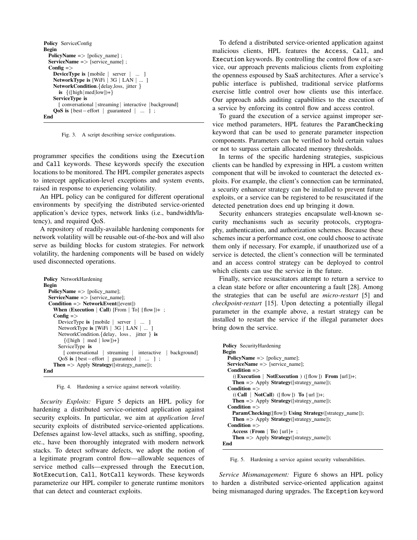```
Policy ServiceConfig
Begin
  PolicyName => [policy_name] ;
  ServiceName => [service_name] ;
  Config =DeviceType is [mobile | server | ... ]
    NetworkType is [WiFi | 3G | LAN | ... ]
    NetworkCondition. {delay, loss, jitter }
      is \{([high|med|low])+\}ServiceType is
      [ conversational | streaming | interactive | background]
    QoS is [best – effort | guaranteed | ... ] ;
End
```
Fig. 3. A script describing service configurations.

programmer specifies the conditions using the Execution and Call keywords. These keywords specify the execution locations to be monitored. The HPL compiler generates aspects to intercept application-level exceptions and system events, raised in response to experiencing volatility.

An HPL policy can be configured for different operational environments by specifying the distributed service-oriented application's device types, network links (i.e., bandwidth/latency), and required QoS.

A repository of readily-available hardening components for network volatility will be reusable out-of-the-box and will also serve as building blocks for custom strategies. For network volatility, the hardening components will be based on widely used disconnected operations.

```
Policy NetworkHardening
Begin
  PolicyName => [policy_name];
  ServiceName \equiv > [service name]:
  Condition => NetworkEvent([event])
    When (Execution \vert Call) [From \vert To] \vert flow \vert)+;
    Config \RightarrowDeviceType is [mobile | server | ... ]
      NetworkType is [WiFi | 3G | LAN | ... ]
      NetworkCondition. {delay, loss, jitter } is
         \{([high \mid med \mid low])+\}ServiceType is
        [ conversational | streaming | interactive | background]
      QoS is [ best−effort | guaranteed | ... ] ;
    Then \Rightarrow Apply Strategy([strategy_name]);
End
```
Fig. 4. Hardening a service against network volatility.

*Security Exploits:* Figure 5 depicts an HPL policy for hardening a distributed service-oriented application against security exploits. In particular, we aim at *application level* security exploits of distributed service-oriented applications. Defenses against low-level attacks, such as sniffing, spoofing, etc., have been thoroughly integrated with modern network stacks. To detect software defects, we adopt the notion of a legitimate program control flow—allowable sequences of service method calls—expressed through the Execution, NotExecution, Call, NotCall keywords. These keywords parameterize our HPL compiler to generate runtime monitors that can detect and counteract exploits.

To defend a distributed service-oriented application against malicious clients, HPL features the Access, Call, and Execution keywords. By controlling the control flow of a service, our approach prevents malicious clients from exploiting the openness espoused by SaaS architectures. After a service's public interface is published, traditional service platforms exercise little control over how clients use this interface. Our approach adds auditing capabilities to the execution of a service by enforcing its control flow and access control.

To guard the execution of a service against improper service method parameters, HPL features the ParamChecking keyword that can be used to generate parameter inspection components. Parameters can be verified to hold certain values or not to surpass certain allocated memory thresholds.

In terms of the specific hardening strategies, suspicious clients can be handled by expressing in HPL a custom written component that will be invoked to counteract the detected exploits. For example, the client's connection can be terminated, a security enhancer strategy can be installed to prevent future exploits, or a service can be registered to be resuscitated if the detected penetration does end up bringing it down.

Security enhancers strategies encapsulate well-known security mechanisms such as security protocols, cryptography, authentication, and authorization schemes. Because these schemes incur a performance cost, one could choose to activate them only if necessary. For example, if unauthorized use of a service is detected, the client's connection will be terminated and an access control strategy can be deployed to control which clients can use the service in the future.

Finally, service resuscitators attempt to return a service to a clean state before or after encountering a fault [28]. Among the strategies that can be useful are *micro-restart* [5] and *checkpoint-restart* [15]. Upon detecting a potentially illegal parameter in the example above, a restart strategy can be installed to restart the service if the illegal parameter does bring down the service.

```
Policy SecurityHardening
Begin
  PolicyName => [policy_name];
  ServiceName = >[service_name];Condition =((\text{Execution} \mid \text{NotExecution}) (\text{flow}]) From [\text{url}])+;
    Then \Rightarrow Apply Strategy([strategy_name]);
  Condition =((Call \mid NotCall) (fflow \mid) To [url \mid)+:
    Then \Rightarrow Apply Strategy([strategy_name]);
  Condition =ParamChecking([flow]) Using Strategy([strategy_name]);
    Then \Rightarrow Apply Strategy([strategy_name]);
  Condition = >
    Access (From | To) [url]+ ;
    Then \Rightarrow Apply Strategy([strategy_name]);
End
```
Fig. 5. Hardening a service against security vulnerabilities.

*Service Mismanagement:* Figure 6 shows an HPL policy to harden a distributed service-oriented application against being mismanaged during upgrades. The Exception keyword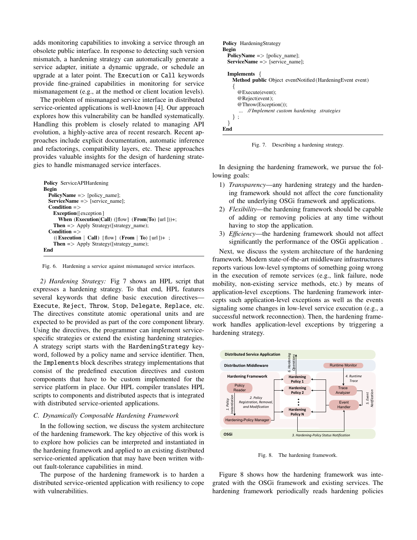adds monitoring capabilities to invoking a service through an obsolete public interface. In response to detecting such version mismatch, a hardening strategy can automatically generate a service adapter, initiate a dynamic upgrade, or schedule an upgrade at a later point. The Execution or Call keywords provide fine-grained capabilities in monitoring for service mismanagement (e.g., at the method or client location levels).

The problem of mismanaged service interface in distributed service-oriented applications is well-known [4]. Our approach explores how this vulnerability can be handled systematically. Handling this problem is closely related to managing API evolution, a highly-active area of recent research. Recent approaches include explicit documentation, automatic inference and refactorings, compatibility layers, etc. These approaches provides valuable insights for the design of hardening strategies to handle mismanaged service interfaces.

```
Policy ServiceAPIHardening
Begin
  PolicyName => [policy_name];
  ServiceName => [service_name];
  Condition =>
    Exception([exception ]
       When (Execution|Call) ([flow] (From|To) [url])++;Then \Rightarrow Apply Strategy([strategy_name);
  Condition =((\textbf{Execution} | \textbf{Call}) [\text{flow}] (\textbf{From} | \textbf{To}) [\text{url}]) + ;Then => Apply Strategy([strategy_name);
End
```
Fig. 6. Hardening a service against mismanaged service interfaces.

*2) Hardening Strategy:* Fig 7 shows an HPL script that expresses a hardening strategy. To that end, HPL features several keywords that define basic execution directives— Execute, Reject, Throw, Stop, Delegate, Replace, etc. The directives constitute atomic operational units and are expected to be provided as part of the core component library. Using the directives, the programmer can implement servicespecific strategies or extend the existing hardening strategies. A strategy script starts with the HardeningStrategy keyword, followed by a policy name and service identifier. Then, the Implements block describes strategy implementations that consist of the predefined execution directives and custom components that have to be custom implemented for the service platform in place. Our HPL compiler translates HPL scripts to components and distributed aspects that is integrated with distributed service-oriented applications.

# *C. Dynamically Composable Hardening Framework*

In the following section, we discuss the system architecture of the hardening framework. The key objective of this work is to explore how policies can be interpreted and instantiated in the hardening framework and applied to an existing distributed service-oriented application that may have been written without fault-tolerance capabilities in mind.

The purpose of the hardening framework is to harden a distributed service-oriented application with resiliency to cope with vulnerabilities.

```
Policy HardeningStrategy
Begin
  PolicyName => [policy_name];ServiceName => [service_name];
  Implements {
    Method public Object eventNotified (HardeningEvent event)
    {
      @Execute(event);
      @Reject(event );
      @Throw(Exception());
          ... // Implement custom hardening strategies
    } ;
  }
End
```


In designing the hardening framework, we pursue the following goals:

- 1) *Transparency*—any hardening strategy and the hardening framework should not affect the core functionality of the underlying OSGi framework and applications.
- 2) *Flexibility*—the hardening framework should be capable of adding or removing policies at any time without having to stop the application.
- 3) *Efficiency*—the hardening framework should not affect significantly the performance of the OSGi application .

Next, we discuss the system architecture of the hardening framework. Modern state-of-the-art middleware infrastructures reports various low-level symptoms of something going wrong in the execution of remote services (e.g., link failure, node mobility, non-existing service methods, etc.) by means of application-level exceptions. The hardening framework intercepts such application-level exceptions as well as the events signaling some changes in low-level service execution (e.g., a successful network reconnection). Then, the hardening framework handles application-level exceptions by triggering a hardening strategy.



Fig. 8. The hardening framework.

Figure 8 shows how the hardening framework was integrated with the OSGi framework and existing services. The hardening framework periodically reads hardening policies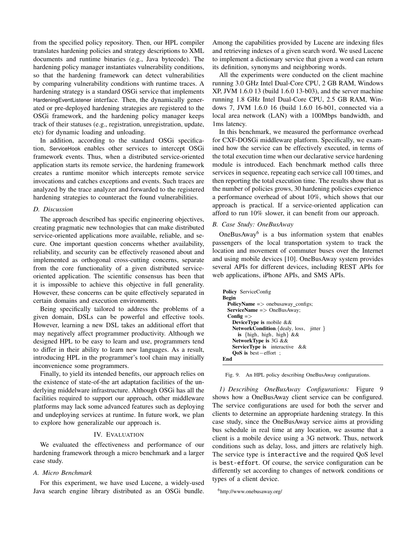from the specified policy repository. Then, our HPL compiler translates hardening policies and strategy descriptions to XML documents and runtime binaries (e.g., Java bytecode). The hardening policy manager instantiates vulnerability conditions, so that the hardening framework can detect vulnerabilities by comparing vulnerability conditions with runtime traces. A hardening strategy is a standard OSGi service that implements HardeningEventListener interface. Then, the dynamically generated or pre-deployed hardening strategies are registered to the OSGi framework, and the hardening policy manager keeps track of their statuses (e.g., registration, unregistration, update, etc) for dynamic loading and unloading.

In addition, according to the standard OSGi specification, ServiceHook enables other services to intercept OSGi framework events. Thus, when a distributed service-oriented application starts its remote service, the hardening framework creates a runtime monitor which intercepts remote service invocations and catches exceptions and events. Such traces are analyzed by the trace analyzer and forwarded to the registered hardening strategies to counteract the found vulnerabilities.

#### *D. Discussion*

The approach described has specific engineering objectives, creating pragmatic new technologies that can make distributed service-oriented applications more available, reliable, and secure. One important question concerns whether availability, reliability, and security can be effectively reasoned about and implemented as orthogonal cross-cutting concerns, separate from the core functionality of a given distributed serviceoriented application. The scientific consensus has been that it is impossible to achieve this objective in full generality. However, these concerns can be quite effectively separated in certain domains and execution environments.

Being specifically tailored to address the problems of a given domain, DSLs can be powerful and effective tools. However, learning a new DSL takes an additional effort that may negatively affect programmer productivity. Although we designed HPL to be easy to learn and use, programmers tend to differ in their ability to learn new languages. As a result, introducing HPL in the programmer's tool chain may initially inconvenience some programmers.

Finally, to yield its intended benefits, our approach relies on the existence of state-of-the art adaptation facilities of the underlying middelware infrastructure. Although OSGi has all the facilities required to support our approach, other middleware platforms may lack some advanced features such as deploying and undeploying services at runtime. In future work, we plan to explore how generalizable our approach is.

## IV. EVALUATION

We evaluated the effectiveness and performance of our hardening framework through a micro benchmark and a larger case study.

#### *A. Micro Benchmark*

For this experiment, we have used Lucene, a widely-used Java search engine library distributed as an OSGi bundle.

Among the capabilities provided by Lucene are indexing files and retrieving indexes of a given search word. We used Lucene to implement a dictionary service that given a word can return its definition, synonyms and neighboring words.

All the experiments were conducted on the client machine running 3.0 GHz Intel Dual-Core CPU, 2 GB RAM, Windows XP, JVM 1.6.0 13 (build 1.6.0 13-b03), and the server machine running 1.8 GHz Intel Dual-Core CPU, 2.5 GB RAM, Windows 7, JVM 1.6.0 16 (build 1.6.0 16-b01, connected via a local area network (LAN) with a 100Mbps bandwidth, and 1ms latency.

In this benchmark, we measured the performance overhead for CXF-DOSGi middleware platform. Specifically, we examined how the service can be effectively executed, in terms of the total execution time when our declarative service hardening module is introduced. Each benchmark method calls three services in sequence, repeating each service call 100 times, and then reporting the total execution time. The results show that as the number of policies grows, 30 hardening policies experience a performance overhead of about 10%, which shows that our approach is practical. If a service-oriented application can afford to run 10% slower, it can benefit from our approach.

# *B. Case Study: OneBusAway*

OneBusAway<sup>6</sup> is a bus information system that enables passengers of the local transportation system to track the location and movement of commuter buses over the Internet and using mobile devices [10]. OneBusAway system provides several APIs for different devices, including REST APIs for web applications, iPhone APIs, and SMS APIs.

| <b>Policy</b> ServiceConfig                     |
|-------------------------------------------------|
| Begin                                           |
| <b>PolicyName</b> => onebusaway configs;        |
| <b>ServiceName</b> => OneBusAway;               |
| Config $\Rightarrow$                            |
| <b>DeviceType is mobile &amp; &amp;</b>         |
| <b>NetworkCondition.</b> {dealy, loss, jitter } |
|                                                 |
| NetworkType is 3G &&                            |
|                                                 |
| <b>OoS</b> is best-effort :                     |
| End                                             |

Fig. 9. An HPL policy describing OneBusAway configurations.

*1) Describing OneBusAway Configurations:* Figure 9 shows how a OneBusAway client service can be configured. The service configurations are used for both the server and clients to determine an appropriate hardening strategy. In this case study, since the OneBusAway service aims at providing bus schedule in real time at any location, we assume that a client is a mobile device using a 3G network. Thus, network conditions such as delay, loss, and jitters are relatively high. The service type is interactive and the required QoS level is best-effort. Of course, the service configuration can be differently set according to changes of network conditions or types of a client device.

<sup>6</sup>http://www.onebusaway.org/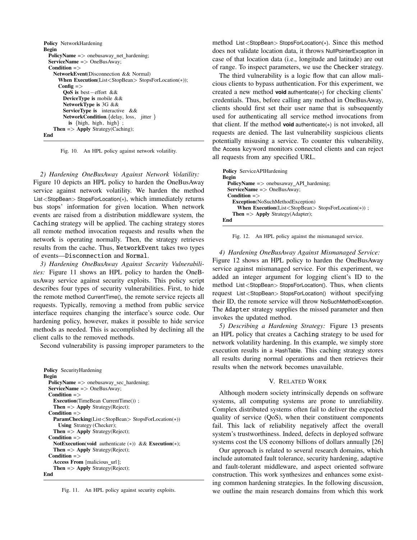```
Policy NetworkHardening
Begin
  PolicyName => onebusaway_net_hardening;
  ServiceName => OneBusAway:
  Condition =NetworkEvent(Disconnection && Normal)
     When Execution(List<StopBean> StopsForLocation(*));
     Config =QoS is best−effort &&
       DeviceType is mobile &&
       NetworkType is 3G &&
       ServiceType is interactive &&
       NetworkCondition. {delay, loss, jitter }
         is {high, high, high} ;
   Then \Rightarrow Apply Strategy(Caching);
End
```
Fig. 10. An HPL policy against network volatility.

*2) Hardening OneBusAway Against Network Volatility:* Figure 10 depicts an HPL policy to harden the OneBusAway service against network volatility. We harden the method List<StopBean> StopsForLocation(∗), which immediately returns bus stops' information for given location. When network events are raised from a distribution middleware system, the Caching strategy will be applied. The caching strategy stores all remote method invocation requests and results when the network is operating normally. Then, the strategy retrieves results from the cache. Thus, NetworkEvent takes two types of events—Disconnection and Normal.

*3) Hardening OneBusAway Against Security Vulnerabilities:* Figure 11 shows an HPL policy to harden the OneBusAway service against security exploits. This policy script describes four types of security vulnerabilities. First, to hide the remote method CurrentTime(), the remote service rejects all requests. Typically, removing a method from public service interface requires changing the interface's source code. Our hardening policy, however, makes it possible to hide service methods as needed. This is accomplished by declining all the client calls to the removed methods.

Second vulnerability is passing improper parameters to the

```
Policy SecurityHardening
Begin
  PolicyName => onebusaway_sec_hardening;
  ServiceName => OneBusAway;
  Condition =Execution(TimeBean CurrentTime()) ;
    Then \Rightarrow Apply Strategy(Reject);
  Condition =>
    ParamChecking(List<StopBean> StopsForLocation(∗))
     Using Strategy (Checker);
    Then => Apply Strategy(Reject);
  Condition =NotExecution(void authenticate (∗)) && Execution(∗);
    Then \Rightarrow Apply Strategy(Reject);
  Condition =Access From [malicious_url];
    Then => Apply Strategy(Reject);
End
```
Fig. 11. An HPL policy against security exploits.

method List<StopBean> StopsForLocation(∗). Since this method does not validate location data, it throws NullPointerException in case of that location data (i.e., longitude and latitude) are out of range. To inspect parameters, we use the Checker strategy.

The third vulnerability is a logic flow that can allow malicious clients to bypass authentication. For this experiment, we created a new method **void** authenticate(∗) for checking clients' credentials. Thus, before calling any method in OneBusAway, clients should first set their user name that is subsequently used for authenticating all service method invocations from that client. If the method **void** authenticate(∗) is not invoked, all requests are denied. The last vulnerability suspicious clients potentially misusing a service. To counter this vulnerability, the Access keyword monitors connected clients and can reject all requests from any specified URL.

| <b>Policy</b> ServiceAPIHardening                                    |
|----------------------------------------------------------------------|
| <b>Begin</b>                                                         |
| <b>PolicyName</b> = $>$ onebusaway API hardening;                    |
| <b>ServiceName</b> = $>$ OneBusAway;                                 |
| Condition $\Rightarrow$                                              |
| Exception(NoSuchMethodException)                                     |
| <b>When Execution</b> (List $\lt$ StopBean $>$ StopsForLocation(*)); |
| <b>Then =&gt; Apply Strategy(Adapter);</b>                           |
| End                                                                  |

Fig. 12. An HPL policy against the mismanaged service.

*4) Hardening OneBusAway Against Mismanaged Service:* Figure 12 shows an HPL policy to harden the OneBusAway service against mismanaged service. For this experiment, we added an integer argument for logging client's ID to the method List<StopBean> StopsForLocation(). Thus, when clients request List<StopBean> StopsForLocation() without specifying their ID, the remote service will throw NoSuchMethodException. The Adapter strategy supplies the missed parameter and then invokes the updated method.

*5) Describing a Hardening Strategy:* Figure 13 presents an HPL policy that creates a Caching strategy to be used for network volatility hardening. In this example, we simply store execution results in a HashTable. This caching strategy stores all results during normal operations and then retrieves their results when the network becomes unavailable.

## V. RELATED WORK

Although modern society intrinsically depends on software systems, all computing systems are prone to unreliability. Complex distributed systems often fail to deliver the expected quality of service (QoS), when their constituent components fail. This lack of reliability negatively affect the overall system's trustworthiness. Indeed, defects in deployed software systems cost the US economy billions of dollars annually [26]

Our approach is related to several research domains, which include automated fault tolerance, security hardening, adaptive and fault-tolerant middleware, and aspect oriented software construction. This work synthesizes and enhances some existing common hardening strategies. In the following discussion, we outline the main research domains from which this work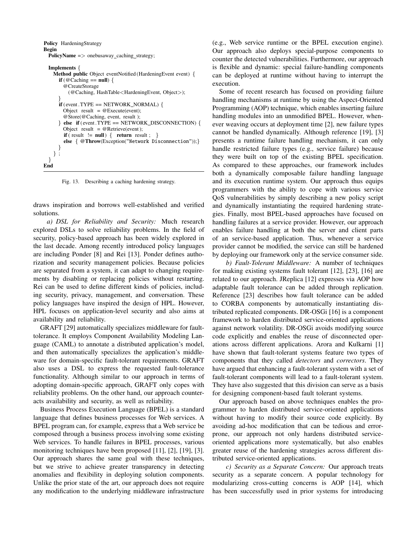```
Policy HardeningStrategy
Begin
  PolicyName => onebusaway_caching_strategy;
  Implements {
   Method public Object eventNotified (HardeningEvent event) {
      if (@Caching == null) {
        @CreateStorage
         (@Caching, HashTable<HardeningEvent, Object>);
      }
      if ( event . TYPE = NETWORK_NORMAL) {
       Object result = @Execute(event);
        @Store(@Caching, event, result );
      \} else if ( event . TYPE == NETWORK_DISCONNECTION) {
        Object result = @Retrieve(event);
        if ( result != null) { return result ; }else { @Throw(Exception("Network Disconnection"));}
      }
    } ;
  }
End
```
Fig. 13. Describing a caching hardening strategy.

draws inspiration and borrows well-established and verified solutions.

*a) DSL for Reliability and Security:* Much research explored DSLs to solve reliability problems. In the field of security, policy-based approach has been widely explored in the last decade. Among recently introduced policy languages are including Ponder [8] and Rei [13]. Ponder defines authorization and security management policies. Because policies are separated from a system, it can adapt to changing requirements by disabling or replacing policies without restarting. Rei can be used to define different kinds of policies, including security, privacy, management, and conversation. These policy languages have inspired the design of HPL. However, HPL focuses on application-level security and also aims at availability and reliability.

GRAFT [29] automatically specializes middleware for faulttolerance. It employs Component Availability Modeling Language (CAML) to annotate a distributed application's model, and then automatically specializes the application's middleware for domain-specific fault-tolerant requirements. GRAFT also uses a DSL to express the requested fault-tolerance functionality. Although similar to our approach in terms of adopting domain-specific approach, GRAFT only copes with reliability problems. On the other hand, our approach counteracts availability and security, as well as reliability.

Business Process Execution Language (BPEL) is a standard language that defines business processes for Web services. A BPEL program can, for example, express that a Web service be composed through a business process involving some existing Web services. To handle failures in BPEL processes, various monitoring techniques have been proposed [11], [2], [19], [3]. Our approach shares the same goal with these techniques, but we strive to achieve greater transparency in detecting anomalies and flexibility in deploying solution components. Unlike the prior state of the art, our approach does not require any modification to the underlying middleware infrastructure

(e.g., Web service runtime or the BPEL execution engine). Our approach also deploys special-purpose components to counter the detected vulnerabilities. Furthermore, our approach is flexible and dynamic: special failure-handling components can be deployed at runtime without having to interrupt the execution.

Some of recent research has focused on providing failure handling mechanisms at runtime by using the Aspect-Oriented Programming (AOP) technique, which enables inserting failure handling modules into an unmodified BPEL. However, whenever weaving occurs at deployment time [2], new failure types cannot be handled dynamically. Although reference [19], [3] presents a runtime failure handling mechanism, it can only handle restricted failure types (e.g., service failure) because they were built on top of the existing BPEL specification. As compared to these approaches, our framework includes both a dynamically composable failure handling language and its execution runtime system. Our approach thus equips programmers with the ability to cope with various service QoS vulnerabilities by simply describing a new policy script and dynamically instantiating the required hardening strategies. Finally, most BPEL-based approaches have focused on handling failures at a service provider. However, our approach enables failure handling at both the server and client parts of an service-based application. Thus, whenever a service provider cannot be modified, the service can still be hardened by deploying our framework only at the service consumer side.

*b) Fault-Tolerant Middleware:* A number of techniques for making existing systems fault tolerant [12], [23], [16] are related to our approach. JReplica [12] expresses via AOP how adaptable fault tolerance can be added through replication. Reference [23] describes how fault tolerance can be added to CORBA components by automatically instantiating distributed replicated components. DR-OSGi [16] is a component framework to harden distributed service-oriented applications against network volatility. DR-OSGi avoids modifying source code explicitly and enables the reuse of disconnected operations across different applications. Arora and Kulkarni [1] have shown that fault-tolerant systems feature two types of components that they called *detectors* and *correctors*. They have argued that enhancing a fault-tolerant system with a set of fault-tolerant components will lead to a fault-tolerant system. They have also suggested that this division can serve as a basis for designing component-based fault tolerant systems.

Our approach based on above techniques enables the programmer to harden distributed service-oriented applications without having to modify their source code explicitly. By avoiding ad-hoc modification that can be tedious and errorprone, our approach not only hardens distributed serviceoriented applications more systematically, but also enables greater reuse of the hardening strategies across different distributed service-oriented applications.

*c) Security as a Separate Concern:* Our approach treats security as a separate concern. A popular technology for modularizing cross-cutting concerns is AOP [14], which has been successfully used in prior systems for introducing